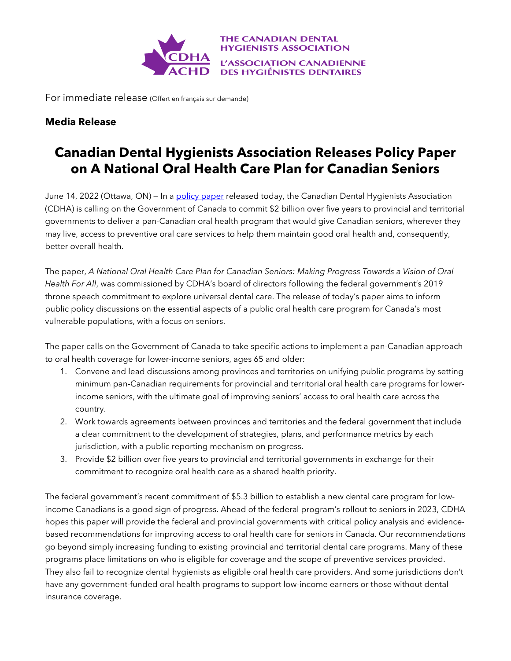

For immediate release (Offert en français sur demande)

## **Media Release**

## **Canadian Dental Hygienists Association Releases Policy Paper on A National Oral Health Care Plan for Canadian Seniors**

June 14, 2022 (Ottawa, ON) – In a [policy paper](https://files.cdha.ca/Profession/Policy/CDHA_Policy_White_Paper_June2022_R2.pdf) released today, the Canadian Dental Hygienists Association (CDHA) is calling on the Government of Canada to commit \$2 billion over five years to provincial and territorial governments to deliver a pan-Canadian oral health program that would give Canadian seniors, wherever they may live, access to preventive oral care services to help them maintain good oral health and, consequently, better overall health.

The paper, *A National Oral Health Care Plan for Canadian Seniors: Making Progress Towards a Vision of Oral Health For All*, was commissioned by CDHA's board of directors following the federal government's 2019 throne speech commitment to explore universal dental care. The release of today's paper aims to inform public policy discussions on the essential aspects of a public oral health care program for Canada's most vulnerable populations, with a focus on seniors.

The paper calls on the Government of Canada to take specific actions to implement a pan-Canadian approach to oral health coverage for lower-income seniors, ages 65 and older:

- 1. Convene and lead discussions among provinces and territories on unifying public programs by setting minimum pan-Canadian requirements for provincial and territorial oral health care programs for lowerincome seniors, with the ultimate goal of improving seniors' access to oral health care across the country.
- 2. Work towards agreements between provinces and territories and the federal government that include a clear commitment to the development of strategies, plans, and performance metrics by each jurisdiction, with a public reporting mechanism on progress.
- 3. Provide \$2 billion over five years to provincial and territorial governments in exchange for their commitment to recognize oral health care as a shared health priority.

The federal government's recent commitment of \$5.3 billion to establish a new dental care program for lowincome Canadians is a good sign of progress. Ahead of the federal program's rollout to seniors in 2023, CDHA hopes this paper will provide the federal and provincial governments with critical policy analysis and evidencebased recommendations for improving access to oral health care for seniors in Canada. Our recommendations go beyond simply increasing funding to existing provincial and territorial dental care programs. Many of these programs place limitations on who is eligible for coverage and the scope of preventive services provided. They also fail to recognize dental hygienists as eligible oral health care providers. And some jurisdictions don't have any government-funded oral health programs to support low-income earners or those without dental insurance coverage.